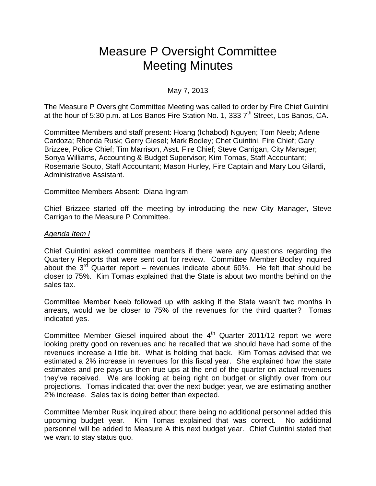# Measure P Oversight Committee Meeting Minutes

## May 7, 2013

The Measure P Oversight Committee Meeting was called to order by Fire Chief Guintini at the hour of 5:30 p.m. at Los Banos Fire Station No. 1, 333 7<sup>th</sup> Street, Los Banos, CA.

Committee Members and staff present: Hoang (Ichabod) Nguyen; Tom Neeb; Arlene Cardoza; Rhonda Rusk; Gerry Giesel; Mark Bodley; Chet Guintini, Fire Chief; Gary Brizzee, Police Chief; Tim Marrison, Asst. Fire Chief; Steve Carrigan, City Manager; Sonya Williams, Accounting & Budget Supervisor; Kim Tomas, Staff Accountant; Rosemarie Souto, Staff Accountant; Mason Hurley, Fire Captain and Mary Lou Gilardi, Administrative Assistant.

Committee Members Absent: Diana Ingram

Chief Brizzee started off the meeting by introducing the new City Manager, Steve Carrigan to the Measure P Committee.

#### *Agenda Item I*

Chief Guintini asked committee members if there were any questions regarding the Quarterly Reports that were sent out for review. Committee Member Bodley inquired about the 3<sup>rd</sup> Quarter report – revenues indicate about 60%. He felt that should be closer to 75%. Kim Tomas explained that the State is about two months behind on the sales tax.

Committee Member Neeb followed up with asking if the State wasn't two months in arrears, would we be closer to 75% of the revenues for the third quarter? Tomas indicated yes.

Committee Member Giesel inquired about the  $4<sup>th</sup>$  Quarter 2011/12 report we were looking pretty good on revenues and he recalled that we should have had some of the revenues increase a little bit. What is holding that back. Kim Tomas advised that we estimated a 2% increase in revenues for this fiscal year. She explained how the state estimates and pre-pays us then true-ups at the end of the quarter on actual revenues they've received. We are looking at being right on budget or slightly over from our projections. Tomas indicated that over the next budget year, we are estimating another 2% increase. Sales tax is doing better than expected.

Committee Member Rusk inquired about there being no additional personnel added this upcoming budget year. Kim Tomas explained that was correct. No additional personnel will be added to Measure A this next budget year. Chief Guintini stated that we want to stay status quo.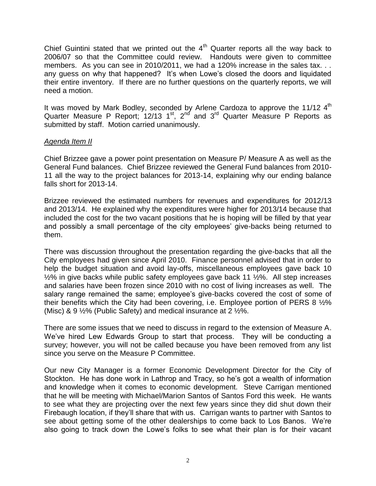Chief Guintini stated that we printed out the  $4<sup>th</sup>$  Quarter reports all the way back to 2006/07 so that the Committee could review. Handouts were given to committee members. As you can see in 2010/2011, we had a 120% increase in the sales tax. . . any guess on why that happened? It's when Lowe's closed the doors and liquidated their entire inventory. If there are no further questions on the quarterly reports, we will need a motion.

It was moved by Mark Bodley, seconded by Arlene Cardoza to approve the 11/12 4<sup>th</sup> Quarter Measure P Report; 12/13 1<sup>st</sup>, 2<sup>nd</sup> and 3<sup>rd</sup> Quarter Measure P Reports as submitted by staff. Motion carried unanimously.

## *Agenda Item II*

Chief Brizzee gave a power point presentation on Measure P/ Measure A as well as the General Fund balances. Chief Brizzee reviewed the General Fund balances from 2010- 11 all the way to the project balances for 2013-14, explaining why our ending balance falls short for 2013-14.

Brizzee reviewed the estimated numbers for revenues and expenditures for 2012/13 and 2013/14. He explained why the expenditures were higher for 2013/14 because that included the cost for the two vacant positions that he is hoping will be filled by that year and possibly a small percentage of the city employees' give-backs being returned to them.

There was discussion throughout the presentation regarding the give-backs that all the City employees had given since April 2010. Finance personnel advised that in order to help the budget situation and avoid lay-offs, miscellaneous employees gave back 10 ½% in give backs while public safety employees gave back 11 ½%. All step increases and salaries have been frozen since 2010 with no cost of living increases as well. The salary range remained the same; employee's give-backs covered the cost of some of their benefits which the City had been covering, i.e. Employee portion of PERS 8 ½% (Misc) & 9 ½% (Public Safety) and medical insurance at 2 ½%.

There are some issues that we need to discuss in regard to the extension of Measure A. We've hired Lew Edwards Group to start that process. They will be conducting a survey; however, you will not be called because you have been removed from any list since you serve on the Measure P Committee.

Our new City Manager is a former Economic Development Director for the City of Stockton. He has done work in Lathrop and Tracy, so he's got a wealth of information and knowledge when it comes to economic development. Steve Carrigan mentioned that he will be meeting with Michael/Marion Santos of Santos Ford this week. He wants to see what they are projecting over the next few years since they did shut down their Firebaugh location, if they'll share that with us. Carrigan wants to partner with Santos to see about getting some of the other dealerships to come back to Los Banos. We're also going to track down the Lowe's folks to see what their plan is for their vacant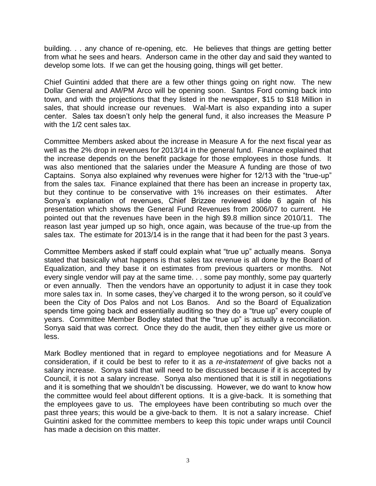building. . . any chance of re-opening, etc. He believes that things are getting better from what he sees and hears. Anderson came in the other day and said they wanted to develop some lots. If we can get the housing going, things will get better.

Chief Guintini added that there are a few other things going on right now. The new Dollar General and AM/PM Arco will be opening soon. Santos Ford coming back into town, and with the projections that they listed in the newspaper, \$15 to \$18 Million in sales, that should increase our revenues. Wal-Mart is also expanding into a super center. Sales tax doesn't only help the general fund, it also increases the Measure P with the 1/2 cent sales tax.

Committee Members asked about the increase in Measure A for the next fiscal year as well as the 2% drop in revenues for 2013/14 in the general fund. Finance explained that the increase depends on the benefit package for those employees in those funds. It was also mentioned that the salaries under the Measure A funding are those of two Captains. Sonya also explained why revenues were higher for 12/13 with the "true-up" from the sales tax. Finance explained that there has been an increase in property tax, but they continue to be conservative with 1% increases on their estimates. After Sonya's explanation of revenues, Chief Brizzee reviewed slide 6 again of his presentation which shows the General Fund Revenues from 2006/07 to current. He pointed out that the revenues have been in the high \$9.8 million since 2010/11. The reason last year jumped up so high, once again, was because of the true-up from the sales tax. The estimate for 2013/14 is in the range that it had been for the past 3 years.

Committee Members asked if staff could explain what "true up" actually means. Sonya stated that basically what happens is that sales tax revenue is all done by the Board of Equalization, and they base it on estimates from previous quarters or months. Not every single vendor will pay at the same time. . . some pay monthly, some pay quarterly or even annually. Then the vendors have an opportunity to adjust it in case they took more sales tax in. In some cases, they've charged it to the wrong person, so it could've been the City of Dos Palos and not Los Banos. And so the Board of Equalization spends time going back and essentially auditing so they do a "true up" every couple of years. Committee Member Bodley stated that the "true up" is actually a reconciliation. Sonya said that was correct. Once they do the audit, then they either give us more or less.

Mark Bodley mentioned that in regard to employee negotiations and for Measure A consideration, if it could be best to refer to it as a *re-instatement* of give backs not a salary increase. Sonya said that will need to be discussed because if it is accepted by Council, it is not a salary increase. Sonya also mentioned that it is still in negotiations and it is something that we shouldn't be discussing. However, we do want to know how the committee would feel about different options. It is a give-back. It is something that the employees gave to us. The employees have been contributing so much over the past three years; this would be a give-back to them. It is not a salary increase. Chief Guintini asked for the committee members to keep this topic under wraps until Council has made a decision on this matter.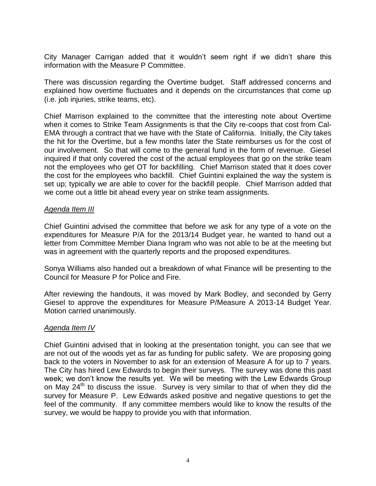City Manager Carrigan added that it wouldn't seem right if we didn't share this information with the Measure P Committee.

There was discussion regarding the Overtime budget. Staff addressed concerns and explained how overtime fluctuates and it depends on the circumstances that come up (i.e. job injuries, strike teams, etc).

Chief Marrison explained to the committee that the interesting note about Overtime when it comes to Strike Team Assignments is that the City re-coops that cost from Cal-EMA through a contract that we have with the State of California. Initially, the City takes the hit for the Overtime, but a few months later the State reimburses us for the cost of our involvement. So that will come to the general fund in the form of revenue. Giesel inquired if that only covered the cost of the actual employees that go on the strike team not the employees who get OT for backfilling. Chief Marrison stated that it does cover the cost for the employees who backfill. Chief Guintini explained the way the system is set up; typically we are able to cover for the backfill people. Chief Marrison added that we come out a little bit ahead every year on strike team assignments.

## *Agenda Item III*

Chief Guintini advised the committee that before we ask for any type of a vote on the expenditures for Measure P/A for the 2013/14 Budget year, he wanted to hand out a letter from Committee Member Diana Ingram who was not able to be at the meeting but was in agreement with the quarterly reports and the proposed expenditures.

Sonya Williams also handed out a breakdown of what Finance will be presenting to the Council for Measure P for Police and Fire.

After reviewing the handouts, it was moved by Mark Bodley, and seconded by Gerry Giesel to approve the expenditures for Measure P/Measure A 2013-14 Budget Year. Motion carried unanimously.

## *Agenda Item IV*

Chief Guintini advised that in looking at the presentation tonight, you can see that we are not out of the woods yet as far as funding for public safety. We are proposing going back to the voters in November to ask for an extension of Measure A for up to 7 years. The City has hired Lew Edwards to begin their surveys. The survey was done this past week; we don't know the results yet. We will be meeting with the Lew Edwards Group on May  $24<sup>th</sup>$  to discuss the issue. Survey is very similar to that of when they did the survey for Measure P. Lew Edwards asked positive and negative questions to get the feel of the community. If any committee members would like to know the results of the survey, we would be happy to provide you with that information.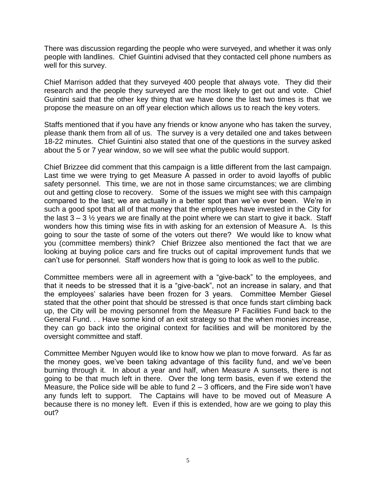There was discussion regarding the people who were surveyed, and whether it was only people with landlines. Chief Guintini advised that they contacted cell phone numbers as well for this survey.

Chief Marrison added that they surveyed 400 people that always vote. They did their research and the people they surveyed are the most likely to get out and vote. Chief Guintini said that the other key thing that we have done the last two times is that we propose the measure on an off year election which allows us to reach the key voters.

Staffs mentioned that if you have any friends or know anyone who has taken the survey, please thank them from all of us. The survey is a very detailed one and takes between 18-22 minutes. Chief Guintini also stated that one of the questions in the survey asked about the 5 or 7 year window, so we will see what the public would support.

Chief Brizzee did comment that this campaign is a little different from the last campaign. Last time we were trying to get Measure A passed in order to avoid layoffs of public safety personnel. This time, we are not in those same circumstances; we are climbing out and getting close to recovery. Some of the issues we might see with this campaign compared to the last; we are actually in a better spot than we've ever been. We're in such a good spot that all of that money that the employees have invested in the City for the last  $3 - 3\frac{1}{2}$  years we are finally at the point where we can start to give it back. Staff wonders how this timing wise fits in with asking for an extension of Measure A. Is this going to sour the taste of some of the voters out there? We would like to know what you (committee members) think? Chief Brizzee also mentioned the fact that we are looking at buying police cars and fire trucks out of capital improvement funds that we can't use for personnel. Staff wonders how that is going to look as well to the public.

Committee members were all in agreement with a "give-back" to the employees, and that it needs to be stressed that it is a "give-back", not an increase in salary, and that the employees' salaries have been frozen for 3 years. Committee Member Giesel stated that the other point that should be stressed is that once funds start climbing back up, the City will be moving personnel from the Measure P Facilities Fund back to the General Fund. . . Have some kind of an exit strategy so that the when monies increase, they can go back into the original context for facilities and will be monitored by the oversight committee and staff.

Committee Member Nguyen would like to know how we plan to move forward. As far as the money goes, we've been taking advantage of this facility fund, and we've been burning through it. In about a year and half, when Measure A sunsets, there is not going to be that much left in there. Over the long term basis, even if we extend the Measure, the Police side will be able to fund  $2 - 3$  officers, and the Fire side won't have any funds left to support. The Captains will have to be moved out of Measure A because there is no money left. Even if this is extended, how are we going to play this out?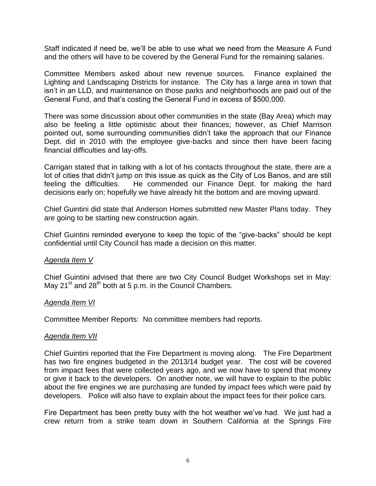Staff indicated if need be, we'll be able to use what we need from the Measure A Fund and the others will have to be covered by the General Fund for the remaining salaries.

Committee Members asked about new revenue sources. Finance explained the Lighting and Landscaping Districts for instance. The City has a large area in town that isn't in an LLD, and maintenance on those parks and neighborhoods are paid out of the General Fund, and that's costing the General Fund in excess of \$500,000.

There was some discussion about other communities in the state (Bay Area) which may also be feeling a little optimistic about their finances; however, as Chief Marrison pointed out, some surrounding communities didn't take the approach that our Finance Dept. did in 2010 with the employee give-backs and since then have been facing financial difficulties and lay-offs.

Carrigan stated that in talking with a lot of his contacts throughout the state, there are a lot of cities that didn't jump on this issue as quick as the City of Los Banos, and are still feeling the difficulties. He commended our Finance Dept. for making the hard decisions early on; hopefully we have already hit the bottom and are moving upward.

Chief Guintini did state that Anderson Homes submitted new Master Plans today. They are going to be starting new construction again.

Chief Guintini reminded everyone to keep the topic of the "give-backs" should be kept confidential until City Council has made a decision on this matter.

### *Agenda Item V*

Chief Guintini advised that there are two City Council Budget Workshops set in May: May 21<sup>st</sup> and 28<sup>th</sup> both at 5 p.m. in the Council Chambers.

### *Agenda Item VI*

Committee Member Reports: No committee members had reports.

### *Agenda Item VII*

Chief Guintini reported that the Fire Department is moving along. The Fire Department has two fire engines budgeted in the 2013/14 budget year. The cost will be covered from impact fees that were collected years ago, and we now have to spend that money or give it back to the developers. On another note, we will have to explain to the public about the fire engines we are purchasing are funded by impact fees which were paid by developers. Police will also have to explain about the impact fees for their police cars.

Fire Department has been pretty busy with the hot weather we've had. We just had a crew return from a strike team down in Southern California at the Springs Fire